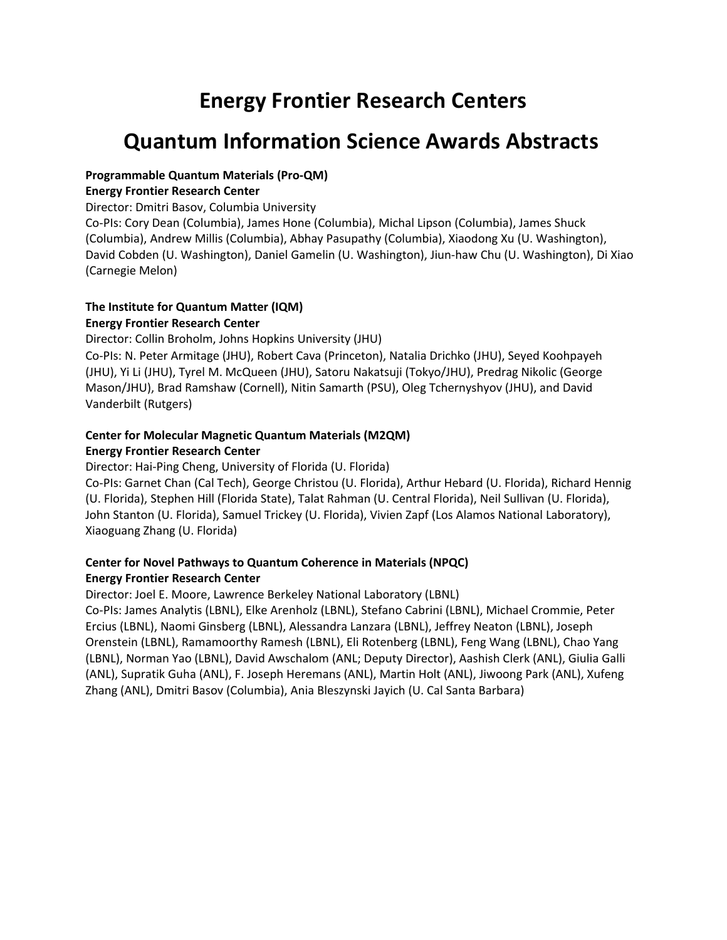# **Energy Frontier Research Centers**

# **Quantum Information Science Awards Abstracts**

#### **Programmable Quantum Materials (Pro-QM)**

#### **Energy Frontier Research Center**

Director: Dmitri Basov, Columbia University

Co-PIs: Cory Dean (Columbia), James Hone (Columbia), Michal Lipson (Columbia), James Shuck (Columbia), Andrew Millis (Columbia), Abhay Pasupathy (Columbia), Xiaodong Xu (U. Washington), David Cobden (U. Washington), Daniel Gamelin (U. Washington), Jiun-haw Chu (U. Washington), Di Xiao (Carnegie Melon)

#### **The Institute for Quantum Matter (IQM) Energy Frontier Research Center**

Director: Collin Broholm, Johns Hopkins University (JHU)

Co-PIs: N. Peter Armitage (JHU), Robert Cava (Princeton), Natalia Drichko (JHU), Seyed Koohpayeh (JHU), Yi Li (JHU), Tyrel M. McQueen (JHU), Satoru Nakatsuji (Tokyo/JHU), Predrag Nikolic (George Mason/JHU), Brad Ramshaw (Cornell), Nitin Samarth (PSU), Oleg Tchernyshyov (JHU), and David Vanderbilt (Rutgers)

#### **Center for Molecular Magnetic Quantum Materials (M2QM) Energy Frontier Research Center**

Director: Hai-Ping Cheng, University of Florida (U. Florida)

Co-PIs: Garnet Chan (Cal Tech), George Christou (U. Florida), Arthur Hebard (U. Florida), Richard Hennig (U. Florida), Stephen Hill (Florida State), Talat Rahman (U. Central Florida), Neil Sullivan (U. Florida), John Stanton (U. Florida), Samuel Trickey (U. Florida), Vivien Zapf (Los Alamos National Laboratory), Xiaoguang Zhang (U. Florida)

#### **Center for Novel Pathways to Quantum Coherence in Materials (NPQC) Energy Frontier Research Center**

Director: Joel E. Moore, Lawrence Berkeley National Laboratory (LBNL)

Co-PIs: James Analytis (LBNL), Elke Arenholz (LBNL), Stefano Cabrini (LBNL), Michael Crommie, Peter Ercius (LBNL), Naomi Ginsberg (LBNL), Alessandra Lanzara (LBNL), Jeffrey Neaton (LBNL), Joseph Orenstein (LBNL), Ramamoorthy Ramesh (LBNL), Eli Rotenberg (LBNL), Feng Wang (LBNL), Chao Yang (LBNL), Norman Yao (LBNL), David Awschalom (ANL; Deputy Director), Aashish Clerk (ANL), Giulia Galli (ANL), Supratik Guha (ANL), F. Joseph Heremans (ANL), Martin Holt (ANL), Jiwoong Park (ANL), Xufeng Zhang (ANL), Dmitri Basov (Columbia), Ania Bleszynski Jayich (U. Cal Santa Barbara)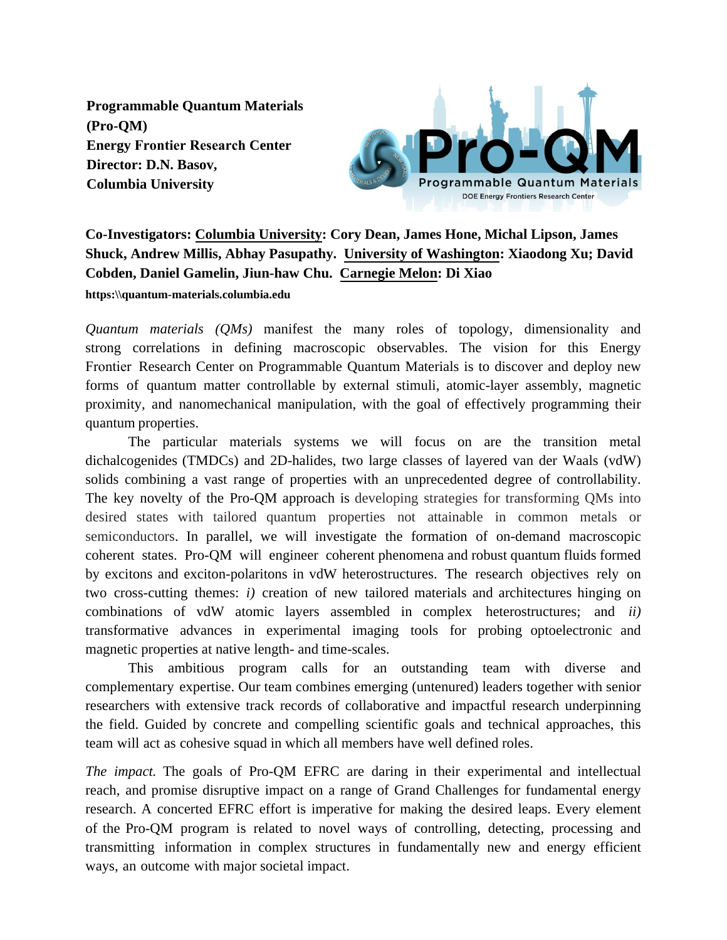**Programmable Quantum Materials (Pro-QM) Energy Frontier Research Center Director: D.N. Basov, Columbia University** 



## **Co-Investigators: Columbia University: Cory Dean, James Hone, Michal Lipson, James Shuck, Andrew Millis, Abhay Pasupathy. University of Washington: Xiaodong Xu; David Cobden, Daniel Gamelin, Jiun-haw Chu. Carnegie Melon: Di Xiao https:\\quantum-materials.columbia.edu**

*Quantum materials (QMs)* manifest the many roles of topology, dimensionality and strong correlations in defining macroscopic observables. The vision for this Energy Frontier Research Center on Programmable Quantum Materials is to discover and deploy new forms of quantum matter controllable by external stimuli, atomic-layer assembly, magnetic proximity, and nanomechanical manipulation, with the goal of effectively programming their quantum properties.

The particular materials systems we will focus on are the transition metal dichalcogenides (TMDCs) and 2D-halides, two large classes of layered van der Waals (vdW) solids combining a vast range of properties with an unprecedented degree of controllability. The key novelty of the Pro-QM approach is developing strategies for transforming QMs into desired states with tailored quantum properties not attainable in common metals or semiconductors. In parallel, we will investigate the formation of on-demand macroscopic coherent states. Pro-QM will engineer coherent phenomena and robust quantum fluids formed by excitons and exciton-polaritons in vdW heterostructures. The research objectives rely on two cross-cutting themes: *i)* creation of new tailored materials and architectures hinging on combinations of vdW atomic layers assembled in complex heterostructures; and *ii)* transformative advances in experimental imaging tools for probing optoelectronic and magnetic properties at native length- and time-scales.

This ambitious program calls for an outstanding team with diverse and complementary expertise. Our team combines emerging (untenured) leaders together with senior researchers with extensive track records of collaborative and impactful research underpinning the field. Guided by concrete and compelling scientific goals and technical approaches, this team will act as cohesive squad in which all members have well defined roles.

*The impact.* The goals of Pro-QM EFRC are daring in their experimental and intellectual reach, and promise disruptive impact on a range of Grand Challenges for fundamental energy research. A concerted EFRC effort is imperative for making the desired leaps. Every element of the Pro-QM program is related to novel ways of controlling, detecting, processing and transmitting information in complex structures in fundamentally new and energy efficient ways, an outcome with major societal impact.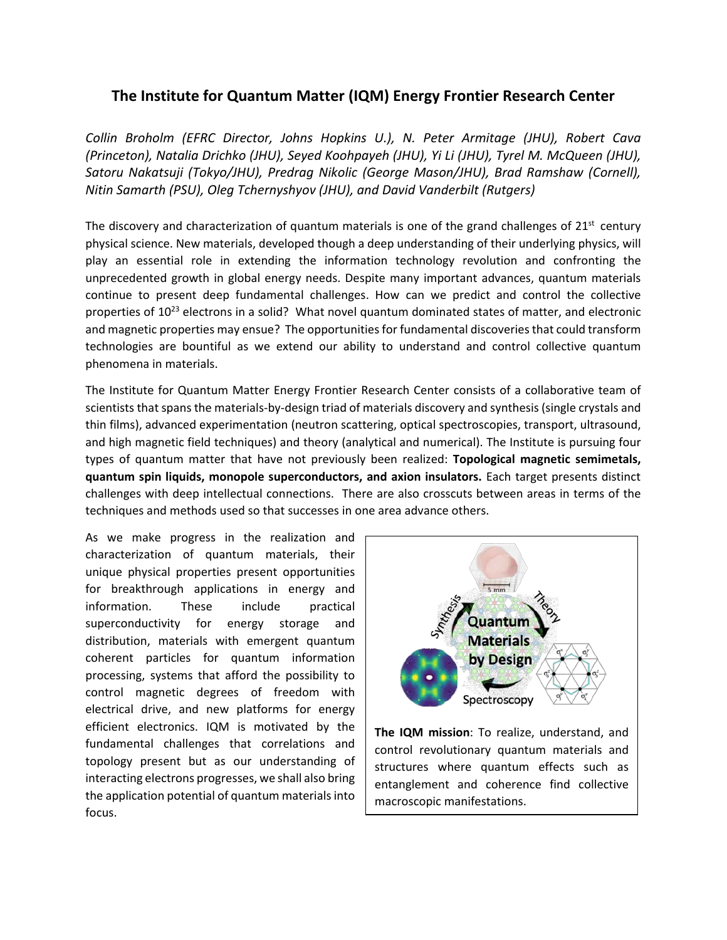### **The Institute for Quantum Matter (IQM) Energy Frontier Research Center**

*Collin Broholm (EFRC Director, Johns Hopkins U.), N. Peter Armitage (JHU), Robert Cava (Princeton), Natalia Drichko (JHU), Seyed Koohpayeh (JHU), Yi Li (JHU), Tyrel M. McQueen (JHU), Satoru Nakatsuji (Tokyo/JHU), Predrag Nikolic (George Mason/JHU), Brad Ramshaw (Cornell), Nitin Samarth (PSU), Oleg Tchernyshyov (JHU), and David Vanderbilt (Rutgers)*

The discovery and characterization of quantum materials is one of the grand challenges of  $21<sup>st</sup>$  century physical science. New materials, developed though a deep understanding of their underlying physics, will play an essential role in extending the information technology revolution and confronting the unprecedented growth in global energy needs. Despite many important advances, quantum materials continue to present deep fundamental challenges. How can we predict and control the collective properties of  $10^{23}$  electrons in a solid? What novel quantum dominated states of matter, and electronic and magnetic properties may ensue? The opportunities for fundamental discoveries that could transform technologies are bountiful as we extend our ability to understand and control collective quantum phenomena in materials.

The Institute for Quantum Matter Energy Frontier Research Center consists of a collaborative team of scientists that spans the materials-by-design triad of materials discovery and synthesis (single crystals and thin films), advanced experimentation (neutron scattering, optical spectroscopies, transport, ultrasound, and high magnetic field techniques) and theory (analytical and numerical). The Institute is pursuing four types of quantum matter that have not previously been realized: **Topological magnetic semimetals, quantum spin liquids, monopole superconductors, and axion insulators.** Each target presents distinct challenges with deep intellectual connections. There are also crosscuts between areas in terms of the techniques and methods used so that successes in one area advance others.

As we make progress in the realization and characterization of quantum materials, their unique physical properties present opportunities for breakthrough applications in energy and information. These include practical superconductivity for energy storage and distribution, materials with emergent quantum coherent particles for quantum information processing, systems that afford the possibility to control magnetic degrees of freedom with electrical drive, and new platforms for energy efficient electronics. IQM is motivated by the fundamental challenges that correlations and topology present but as our understanding of interacting electrons progresses, we shall also bring the application potential of quantum materials into focus.



**The IQM mission**: To realize, understand, and control revolutionary quantum materials and structures where quantum effects such as entanglement and coherence find collective macroscopic manifestations.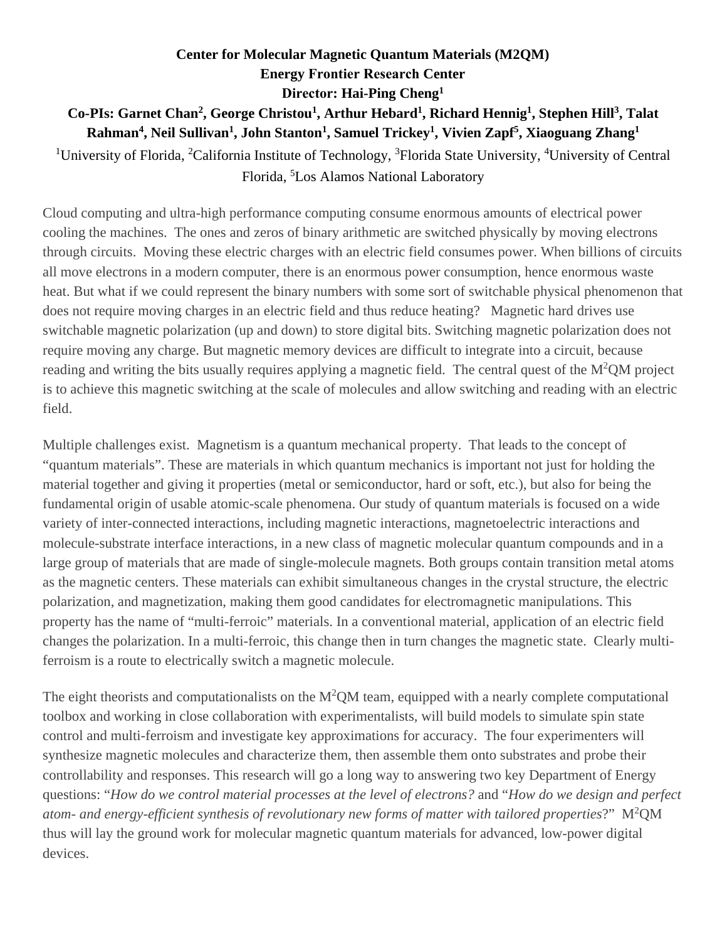# **Center for Molecular Magnetic Quantum Materials (M2QM) Energy Frontier Research Center Director: Hai-Ping Cheng<sup>1</sup> Co-PIs: Garnet Chan<sup>2</sup> , George Christou<sup>1</sup> , Arthur Hebard<sup>1</sup> , Richard Hennig<sup>1</sup> , Stephen Hill<sup>3</sup> , Talat Rahman<sup>4</sup> , Neil Sullivan<sup>1</sup> , John Stanton<sup>1</sup> , Samuel Trickey<sup>1</sup> , Vivien Zapf<sup>5</sup> , Xiaoguang Zhang<sup>1</sup>**

<sup>1</sup>University of Florida, <sup>2</sup>California Institute of Technology, <sup>3</sup>Florida State University, <sup>4</sup>University of Central Florida, <sup>5</sup>Los Alamos National Laboratory

Cloud computing and ultra-high performance computing consume enormous amounts of electrical power cooling the machines. The ones and zeros of binary arithmetic are switched physically by moving electrons through circuits. Moving these electric charges with an electric field consumes power. When billions of circuits all move electrons in a modern computer, there is an enormous power consumption, hence enormous waste heat. But what if we could represent the binary numbers with some sort of switchable physical phenomenon that does not require moving charges in an electric field and thus reduce heating? Magnetic hard drives use switchable magnetic polarization (up and down) to store digital bits. Switching magnetic polarization does not require moving any charge. But magnetic memory devices are difficult to integrate into a circuit, because reading and writing the bits usually requires applying a magnetic field. The central quest of the  $M^2QM$  project is to achieve this magnetic switching at the scale of molecules and allow switching and reading with an electric field.

Multiple challenges exist. Magnetism is a quantum mechanical property. That leads to the concept of "quantum materials". These are materials in which quantum mechanics is important not just for holding the material together and giving it properties (metal or semiconductor, hard or soft, etc.), but also for being the fundamental origin of usable atomic-scale phenomena. Our study of quantum materials is focused on a wide variety of inter-connected interactions, including magnetic interactions, magnetoelectric interactions and molecule-substrate interface interactions, in a new class of magnetic molecular quantum compounds and in a large group of materials that are made of single-molecule magnets. Both groups contain transition metal atoms as the magnetic centers. These materials can exhibit simultaneous changes in the crystal structure, the electric polarization, and magnetization, making them good candidates for electromagnetic manipulations. This property has the name of "multi-ferroic" materials. In a conventional material, application of an electric field changes the polarization. In a multi-ferroic, this change then in turn changes the magnetic state. Clearly multiferroism is a route to electrically switch a magnetic molecule.

The eight theorists and computationalists on the  $M^2QM$  team, equipped with a nearly complete computational toolbox and working in close collaboration with experimentalists, will build models to simulate spin state control and multi-ferroism and investigate key approximations for accuracy. The four experimenters will synthesize magnetic molecules and characterize them, then assemble them onto substrates and probe their controllability and responses. This research will go a long way to answering two key Department of Energy questions: "*How do we control material processes at the level of electrons?* and "*How do we design and perfect atom- and energy-efficient synthesis of revolutionary new forms of matter with tailored properties*?" M<sup>2</sup>QM thus will lay the ground work for molecular magnetic quantum materials for advanced, low-power digital devices.